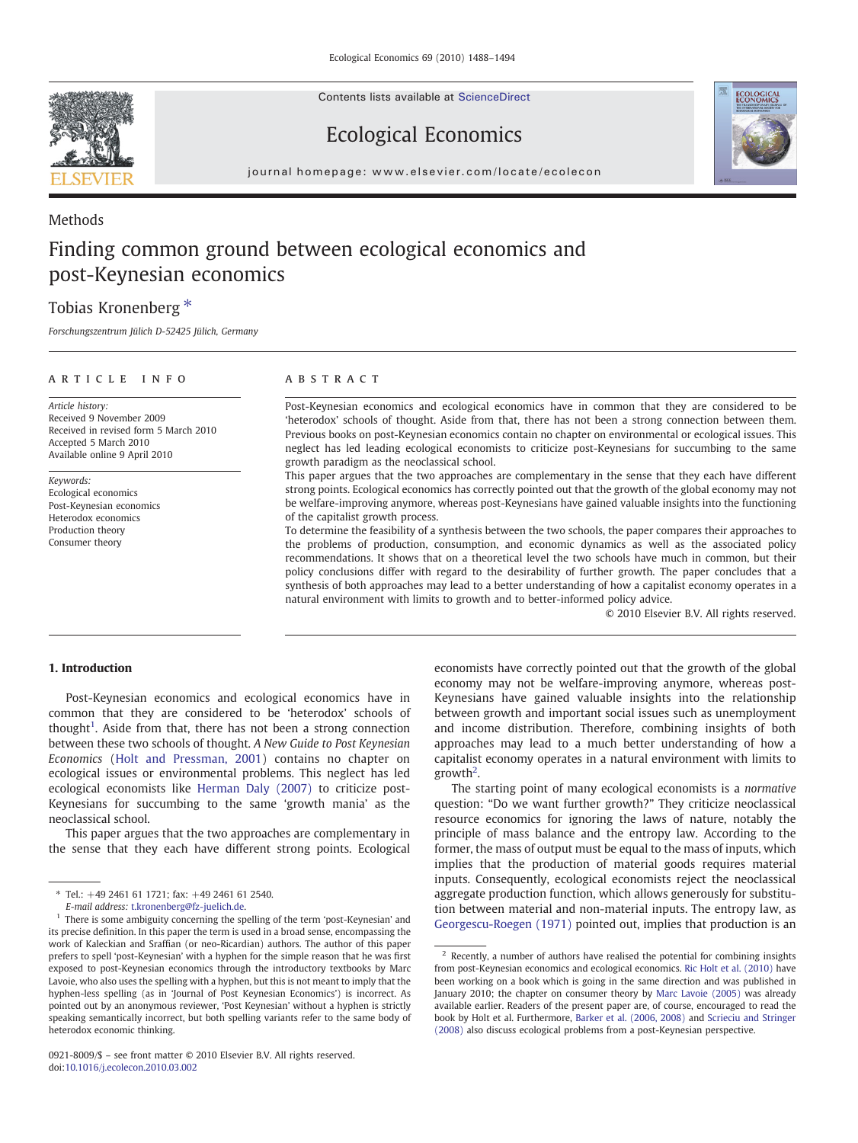Contents lists available at ScienceDirect

Methods





journal homepage: www.elsevier.com/locate/ecolecon

# Finding common ground between ecological economics and post-Keynesian economics

## Tobias Kronenberg<sup>\*</sup>

Forschungszentrum Jülich D-52425 Jülich, Germany

### article info abstract

Article history: Received 9 November 2009 Received in revised form 5 March 2010 Accepted 5 March 2010 Available online 9 April 2010

Keywords: Ecological economics Post-Keynesian economics Heterodox economics Production theory Consumer theory

Post-Keynesian economics and ecological economics have in common that they are considered to be 'heterodox' schools of thought. Aside from that, there has not been a strong connection between them. Previous books on post-Keynesian economics contain no chapter on environmental or ecological issues. This neglect has led leading ecological economists to criticize post-Keynesians for succumbing to the same growth paradigm as the neoclassical school.

This paper argues that the two approaches are complementary in the sense that they each have different strong points. Ecological economics has correctly pointed out that the growth of the global economy may not be welfare-improving anymore, whereas post-Keynesians have gained valuable insights into the functioning of the capitalist growth process.

To determine the feasibility of a synthesis between the two schools, the paper compares their approaches to the problems of production, consumption, and economic dynamics as well as the associated policy recommendations. It shows that on a theoretical level the two schools have much in common, but their policy conclusions differ with regard to the desirability of further growth. The paper concludes that a synthesis of both approaches may lead to a better understanding of how a capitalist economy operates in a natural environment with limits to growth and to better-informed policy advice.

© 2010 Elsevier B.V. All rights reserved.

### 1. Introduction

Post-Keynesian economics and ecological economics have in common that they are considered to be 'heterodox' schools of thought<sup>1</sup>. Aside from that, there has not been a strong connection between these two schools of thought. A New Guide to Post Keynesian Economics [\(Holt and Pressman, 2001\)](#page--1-0) contains no chapter on ecological issues or environmental problems. This neglect has led ecological economists like [Herman Daly \(2007\)](#page--1-0) to criticize post-Keynesians for succumbing to the same 'growth mania' as the neoclassical school.

This paper argues that the two approaches are complementary in the sense that they each have different strong points. Ecological

economists have correctly pointed out that the growth of the global economy may not be welfare-improving anymore, whereas post-Keynesians have gained valuable insights into the relationship between growth and important social issues such as unemployment and income distribution. Therefore, combining insights of both approaches may lead to a much better understanding of how a capitalist economy operates in a natural environment with limits to growth<sup>2</sup>.

The starting point of many ecological economists is a normative question: "Do we want further growth?" They criticize neoclassical resource economics for ignoring the laws of nature, notably the principle of mass balance and the entropy law. According to the former, the mass of output must be equal to the mass of inputs, which implies that the production of material goods requires material inputs. Consequently, ecological economists reject the neoclassical aggregate production function, which allows generously for substitution between material and non-material inputs. The entropy law, as [Georgescu-Roegen \(1971\)](#page--1-0) pointed out, implies that production is an

 $*$  Tel.:  $+49$  2461 61 1721; fax:  $+49$  2461 61 2540.

E-mail address: [t.kronenberg@fz-juelich.de.](mailto:t.kronenberg@fz-juelich.de)

<sup>&</sup>lt;sup>1</sup> There is some ambiguity concerning the spelling of the term 'post-Keynesian' and its precise definition. In this paper the term is used in a broad sense, encompassing the work of Kaleckian and Sraffian (or neo-Ricardian) authors. The author of this paper prefers to spell 'post-Keynesian' with a hyphen for the simple reason that he was first exposed to post-Keynesian economics through the introductory textbooks by Marc Lavoie, who also uses the spelling with a hyphen, but this is not meant to imply that the hyphen-less spelling (as in 'Journal of Post Keynesian Economics') is incorrect. As pointed out by an anonymous reviewer, 'Post Keynesian' without a hyphen is strictly speaking semantically incorrect, but both spelling variants refer to the same body of heterodox economic thinking.

<sup>&</sup>lt;sup>2</sup> Recently, a number of authors have realised the potential for combining insights from post-Keynesian economics and ecological economics. [Ric Holt et al. \(2010\)](#page--1-0) have been working on a book which is going in the same direction and was published in January 2010; the chapter on consumer theory by [Marc Lavoie \(2005\)](#page--1-0) was already available earlier. Readers of the present paper are, of course, encouraged to read the book by Holt et al. Furthermore, [Barker et al. \(2006, 2008\)](#page--1-0) and [Scrieciu and Stringer](#page--1-0) [\(2008\)](#page--1-0) also discuss ecological problems from a post-Keynesian perspective.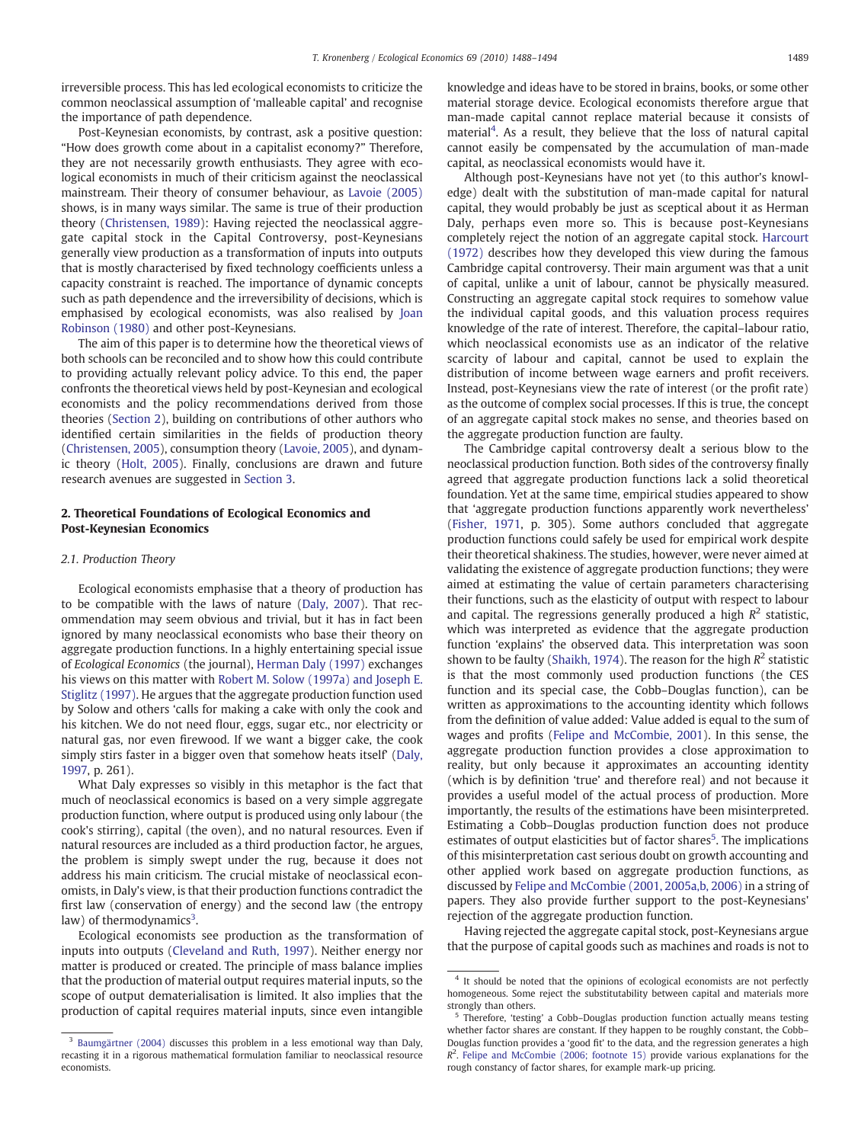irreversible process. This has led ecological economists to criticize the common neoclassical assumption of 'malleable capital' and recognise the importance of path dependence.

Post-Keynesian economists, by contrast, ask a positive question: "How does growth come about in a capitalist economy?" Therefore, they are not necessarily growth enthusiasts. They agree with ecological economists in much of their criticism against the neoclassical mainstream. Their theory of consumer behaviour, as [Lavoie \(2005\)](#page--1-0) shows, is in many ways similar. The same is true of their production theory [\(Christensen, 1989\)](#page--1-0): Having rejected the neoclassical aggregate capital stock in the Capital Controversy, post-Keynesians generally view production as a transformation of inputs into outputs that is mostly characterised by fixed technology coefficients unless a capacity constraint is reached. The importance of dynamic concepts such as path dependence and the irreversibility of decisions, which is emphasised by ecological economists, was also realised by [Joan](#page--1-0) [Robinson \(1980\)](#page--1-0) and other post-Keynesians.

The aim of this paper is to determine how the theoretical views of both schools can be reconciled and to show how this could contribute to providing actually relevant policy advice. To this end, the paper confronts the theoretical views held by post-Keynesian and ecological economists and the policy recommendations derived from those theories (Section 2), building on contributions of other authors who identified certain similarities in the fields of production theory [\(Christensen, 2005\)](#page--1-0), consumption theory [\(Lavoie, 2005](#page--1-0)), and dynamic theory [\(Holt, 2005](#page--1-0)). Finally, conclusions are drawn and future research avenues are suggested in [Section 3](#page--1-0).

### 2. Theoretical Foundations of Ecological Economics and Post-Keynesian Economics

### 2.1. Production Theory

Ecological economists emphasise that a theory of production has to be compatible with the laws of nature ([Daly, 2007](#page--1-0)). That recommendation may seem obvious and trivial, but it has in fact been ignored by many neoclassical economists who base their theory on aggregate production functions. In a highly entertaining special issue of Ecological Economics (the journal), [Herman Daly \(1997\)](#page--1-0) exchanges his views on this matter with [Robert M. Solow \(1997a\) and Joseph E.](#page--1-0) [Stiglitz \(1997\).](#page--1-0) He argues that the aggregate production function used by Solow and others 'calls for making a cake with only the cook and his kitchen. We do not need flour, eggs, sugar etc., nor electricity or natural gas, nor even firewood. If we want a bigger cake, the cook simply stirs faster in a bigger oven that somehow heats itself' [\(Daly,](#page--1-0) [1997,](#page--1-0) p. 261).

What Daly expresses so visibly in this metaphor is the fact that much of neoclassical economics is based on a very simple aggregate production function, where output is produced using only labour (the cook's stirring), capital (the oven), and no natural resources. Even if natural resources are included as a third production factor, he argues, the problem is simply swept under the rug, because it does not address his main criticism. The crucial mistake of neoclassical economists, in Daly's view, is that their production functions contradict the first law (conservation of energy) and the second law (the entropy law) of thermodynamics<sup>3</sup>.

Ecological economists see production as the transformation of inputs into outputs ([Cleveland and Ruth, 1997\)](#page--1-0). Neither energy nor matter is produced or created. The principle of mass balance implies that the production of material output requires material inputs, so the scope of output dematerialisation is limited. It also implies that the production of capital requires material inputs, since even intangible

knowledge and ideas have to be stored in brains, books, or some other material storage device. Ecological economists therefore argue that man-made capital cannot replace material because it consists of material<sup>4</sup>. As a result, they believe that the loss of natural capital cannot easily be compensated by the accumulation of man-made capital, as neoclassical economists would have it.

Although post-Keynesians have not yet (to this author's knowledge) dealt with the substitution of man-made capital for natural capital, they would probably be just as sceptical about it as Herman Daly, perhaps even more so. This is because post-Keynesians completely reject the notion of an aggregate capital stock. [Harcourt](#page--1-0) [\(1972\)](#page--1-0) describes how they developed this view during the famous Cambridge capital controversy. Their main argument was that a unit of capital, unlike a unit of labour, cannot be physically measured. Constructing an aggregate capital stock requires to somehow value the individual capital goods, and this valuation process requires knowledge of the rate of interest. Therefore, the capital–labour ratio, which neoclassical economists use as an indicator of the relative scarcity of labour and capital, cannot be used to explain the distribution of income between wage earners and profit receivers. Instead, post-Keynesians view the rate of interest (or the profit rate) as the outcome of complex social processes. If this is true, the concept of an aggregate capital stock makes no sense, and theories based on the aggregate production function are faulty.

The Cambridge capital controversy dealt a serious blow to the neoclassical production function. Both sides of the controversy finally agreed that aggregate production functions lack a solid theoretical foundation. Yet at the same time, empirical studies appeared to show that 'aggregate production functions apparently work nevertheless' [\(Fisher, 1971,](#page--1-0) p. 305). Some authors concluded that aggregate production functions could safely be used for empirical work despite their theoretical shakiness. The studies, however, were never aimed at validating the existence of aggregate production functions; they were aimed at estimating the value of certain parameters characterising their functions, such as the elasticity of output with respect to labour and capital. The regressions generally produced a high  $R^2$  statistic, which was interpreted as evidence that the aggregate production function 'explains' the observed data. This interpretation was soon shown to be faulty [\(Shaikh, 1974](#page--1-0)). The reason for the high  $R^2$  statistic is that the most commonly used production functions (the CES function and its special case, the Cobb–Douglas function), can be written as approximations to the accounting identity which follows from the definition of value added: Value added is equal to the sum of wages and profits [\(Felipe and McCombie, 2001](#page--1-0)). In this sense, the aggregate production function provides a close approximation to reality, but only because it approximates an accounting identity (which is by definition 'true' and therefore real) and not because it provides a useful model of the actual process of production. More importantly, the results of the estimations have been misinterpreted. Estimating a Cobb–Douglas production function does not produce estimates of output elasticities but of factor shares<sup>5</sup>. The implications of this misinterpretation cast serious doubt on growth accounting and other applied work based on aggregate production functions, as discussed by [Felipe and McCombie \(2001, 2005a,b, 2006\)](#page--1-0) in a string of papers. They also provide further support to the post-Keynesians' rejection of the aggregate production function.

Having rejected the aggregate capital stock, post-Keynesians argue that the purpose of capital goods such as machines and roads is not to

<sup>&</sup>lt;sup>3</sup> [Baumgärtner \(2004\)](#page--1-0) discusses this problem in a less emotional way than Daly, recasting it in a rigorous mathematical formulation familiar to neoclassical resource economists.

<sup>&</sup>lt;sup>4</sup> It should be noted that the opinions of ecological economists are not perfectly homogeneous. Some reject the substitutability between capital and materials more strongly than others.

<sup>5</sup> Therefore, 'testing' a Cobb–Douglas production function actually means testing whether factor shares are constant. If they happen to be roughly constant, the Cobb– Douglas function provides a 'good fit' to the data, and the regression generates a high  $R<sup>2</sup>$ . [Felipe and McCombie \(2006; footnote 15\)](#page--1-0) provide various explanations for the rough constancy of factor shares, for example mark-up pricing.